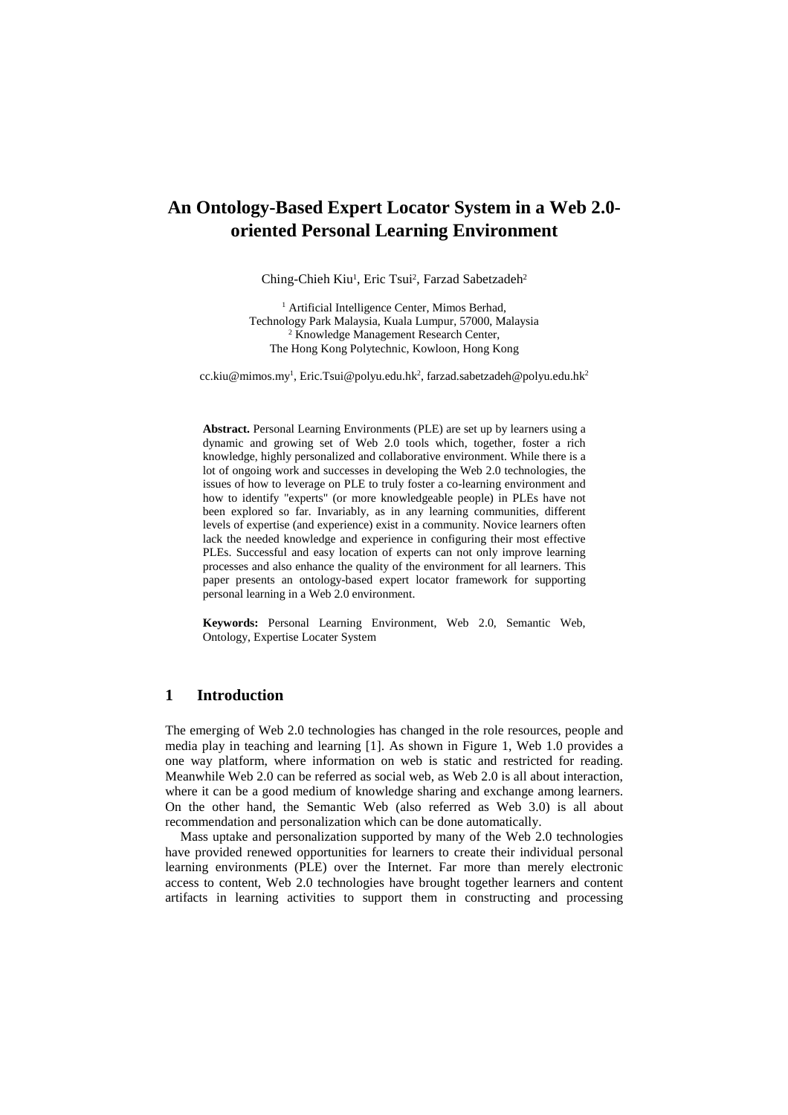# **An Ontology-Based Expert Locator System in a Web 2.0 oriented Personal Learning Environment**

Ching-Chieh Kiu<sup>1</sup>, Eric Tsui<sup>2</sup>, Farzad Sabetzadeh<sup>2</sup>

<sup>1</sup> Artificial Intelligence Center, Mimos Berhad, Technology Park Malaysia, Kuala Lumpur, 57000, Malaysia 2 Knowledge Management Research Center, The Hong Kong Polytechnic, Kowloon, Hong Kong

cc.kiu@mimos.my<sup>1</sup>, Eric.Tsui@polyu.edu.hk<sup>2</sup>, farzad.sabetzadeh@polyu.edu.hk<sup>2</sup>

**Abstract.** Personal Learning Environments (PLE) are set up by learners using a dynamic and growing set of Web 2.0 tools which, together, foster a rich knowledge, highly personalized and collaborative environment. While there is a lot of ongoing work and successes in developing the Web 2.0 technologies, the issues of how to leverage on PLE to truly foster a co-learning environment and how to identify "experts" (or more knowledgeable people) in PLEs have not been explored so far. Invariably, as in any learning communities, different levels of expertise (and experience) exist in a community. Novice learners often lack the needed knowledge and experience in configuring their most effective PLEs. Successful and easy location of experts can not only improve learning processes and also enhance the quality of the environment for all learners. This paper presents an ontology-based expert locator framework for supporting personal learning in a Web 2.0 environment.

**Keywords:** Personal Learning Environment, Web 2.0, Semantic Web, Ontology, Expertise Locater System

### **1 Introduction**

The emerging of Web 2.0 technologies has changed in the role resources, people and media play in teaching and learning [1]. As shown in Figure 1, Web 1.0 provides a one way platform, where information on web is static and restricted for reading. Meanwhile Web 2.0 can be referred as social web, as Web 2.0 is all about interaction, where it can be a good medium of knowledge sharing and exchange among learners. On the other hand, the Semantic Web (also referred as Web 3.0) is all about recommendation and personalization which can be done automatically.

Mass uptake and personalization supported by many of the Web 2.0 technologies have provided renewed opportunities for learners to create their individual personal learning environments (PLE) over the Internet. Far more than merely electronic access to content, Web 2.0 technologies have brought together learners and content artifacts in learning activities to support them in constructing and processing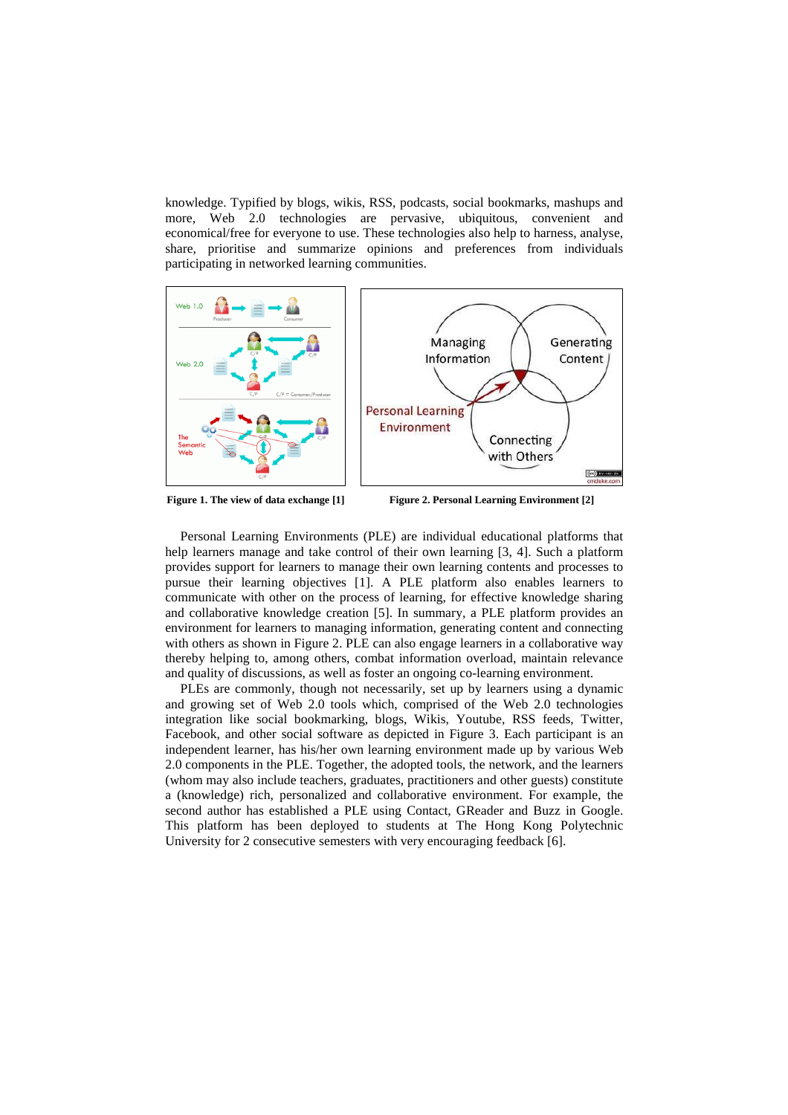knowledge. Typified by blogs, wikis, RSS, podcasts, social bookmarks, mashups and more, Web 2.0 technologies are pervasive, ubiquitous, convenient and economical/free for everyone to use. These technologies also help to harness, analyse, share, prioritise and summarize opinions and preferences from individuals participating in networked learning communities.



Figure 1. The view of data exchange [1] Figure 2. Personal Learning Environment [2]

Personal Learning Environments (PLE) are individual educational platforms that help learners manage and take control of their own learning [3, 4]. Such a platform provides support for learners to manage their own learning contents and processes to pursue their learning objectives [1]. A PLE platform also enables learners to communicate with other on the process of learning, for effective knowledge sharing and collaborative knowledge creation [5]. In summary, a PLE platform provides an environment for learners to managing information, generating content and connecting with others as shown in Figure 2. PLE can also engage learners in a collaborative way thereby helping to, among others, combat information overload, maintain relevance and quality of discussions, as well as foster an ongoing co-learning environment.

PLEs are commonly, though not necessarily, set up by learners using a dynamic and growing set of Web 2.0 tools which, comprised of the Web 2.0 technologies integration like social bookmarking, blogs, Wikis, Youtube, RSS feeds, Twitter, Facebook, and other social software as depicted in Figure 3. Each participant is an independent learner, has his/her own learning environment made up by various Web 2.0 components in the PLE. Together, the adopted tools, the network, and the learners (whom may also include teachers, graduates, practitioners and other guests) constitute a (knowledge) rich, personalized and collaborative environment. For example, the second author has established a PLE using Contact, GReader and Buzz in Google. This platform has been deployed to students at The Hong Kong Polytechnic University for 2 consecutive semesters with very encouraging feedback [6].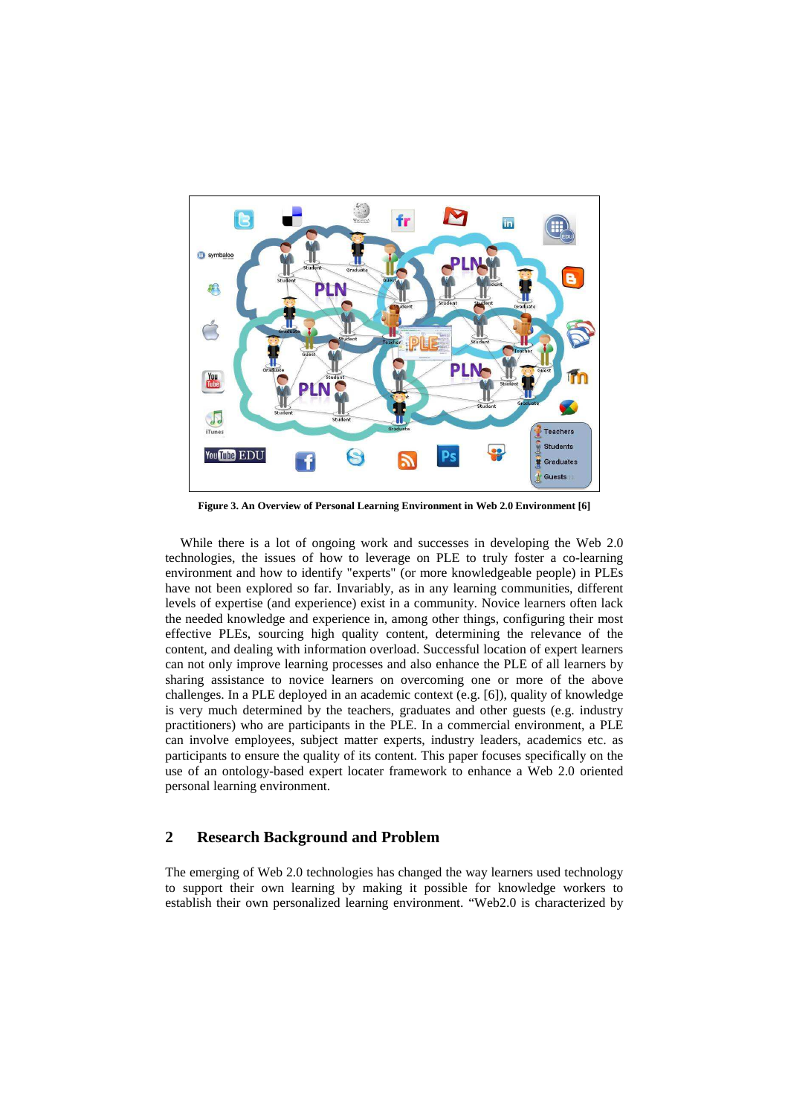

**Figure 3. An Overview of Personal Learning Environment in Web 2.0 Environment [6]** 

While there is a lot of ongoing work and successes in developing the Web 2.0 technologies, the issues of how to leverage on PLE to truly foster a co-learning environment and how to identify "experts" (or more knowledgeable people) in PLEs have not been explored so far. Invariably, as in any learning communities, different levels of expertise (and experience) exist in a community. Novice learners often lack the needed knowledge and experience in, among other things, configuring their most effective PLEs, sourcing high quality content, determining the relevance of the content, and dealing with information overload. Successful location of expert learners can not only improve learning processes and also enhance the PLE of all learners by sharing assistance to novice learners on overcoming one or more of the above challenges. In a PLE deployed in an academic context (e.g. [6]), quality of knowledge is very much determined by the teachers, graduates and other guests (e.g. industry practitioners) who are participants in the PLE. In a commercial environment, a PLE can involve employees, subject matter experts, industry leaders, academics etc. as participants to ensure the quality of its content. This paper focuses specifically on the use of an ontology-based expert locater framework to enhance a Web 2.0 oriented personal learning environment.

#### **2 Research Background and Problem**

The emerging of Web 2.0 technologies has changed the way learners used technology to support their own learning by making it possible for knowledge workers to establish their own personalized learning environment. "Web2.0 is characterized by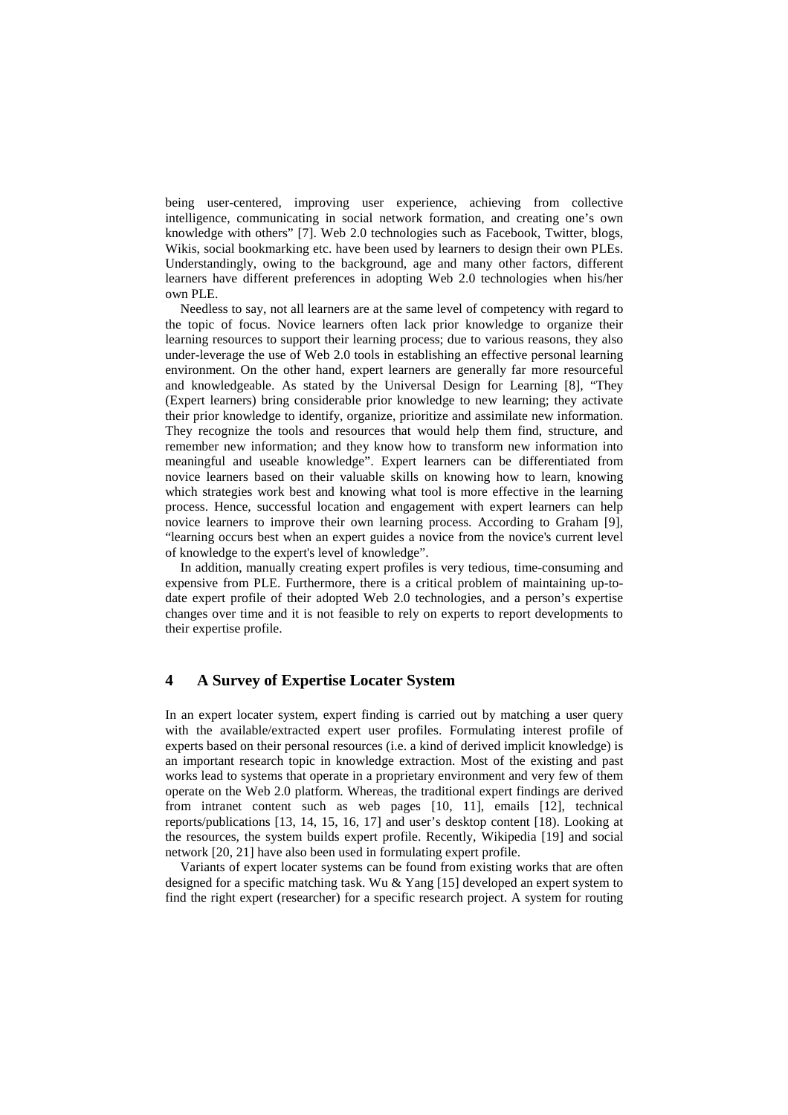being user-centered, improving user experience, achieving from collective intelligence, communicating in social network formation, and creating one's own knowledge with others" [7]. Web 2.0 technologies such as Facebook, Twitter, blogs, Wikis, social bookmarking etc. have been used by learners to design their own PLEs. Understandingly, owing to the background, age and many other factors, different learners have different preferences in adopting Web 2.0 technologies when his/her own PLE.

Needless to say, not all learners are at the same level of competency with regard to the topic of focus. Novice learners often lack prior knowledge to organize their learning resources to support their learning process; due to various reasons, they also under-leverage the use of Web 2.0 tools in establishing an effective personal learning environment. On the other hand, expert learners are generally far more resourceful and knowledgeable. As stated by the Universal Design for Learning [8], "They (Expert learners) bring considerable prior knowledge to new learning; they activate their prior knowledge to identify, organize, prioritize and assimilate new information. They recognize the tools and resources that would help them find, structure, and remember new information; and they know how to transform new information into meaningful and useable knowledge". Expert learners can be differentiated from novice learners based on their valuable skills on knowing how to learn, knowing which strategies work best and knowing what tool is more effective in the learning process. Hence, successful location and engagement with expert learners can help novice learners to improve their own learning process. According to Graham [9], "learning occurs best when an expert guides a novice from the novice's current level of knowledge to the expert's level of knowledge".

In addition, manually creating expert profiles is very tedious, time-consuming and expensive from PLE. Furthermore, there is a critical problem of maintaining up-todate expert profile of their adopted Web 2.0 technologies, and a person's expertise changes over time and it is not feasible to rely on experts to report developments to their expertise profile.

#### **4 A Survey of Expertise Locater System**

In an expert locater system, expert finding is carried out by matching a user query with the available/extracted expert user profiles. Formulating interest profile of experts based on their personal resources (i.e. a kind of derived implicit knowledge) is an important research topic in knowledge extraction. Most of the existing and past works lead to systems that operate in a proprietary environment and very few of them operate on the Web 2.0 platform. Whereas, the traditional expert findings are derived from intranet content such as web pages [10, 11], emails [12], technical reports/publications [13, 14, 15, 16, 17] and user's desktop content [18). Looking at the resources, the system builds expert profile. Recently, Wikipedia [19] and social network [20, 21] have also been used in formulating expert profile.

Variants of expert locater systems can be found from existing works that are often designed for a specific matching task. Wu & Yang [15] developed an expert system to find the right expert (researcher) for a specific research project. A system for routing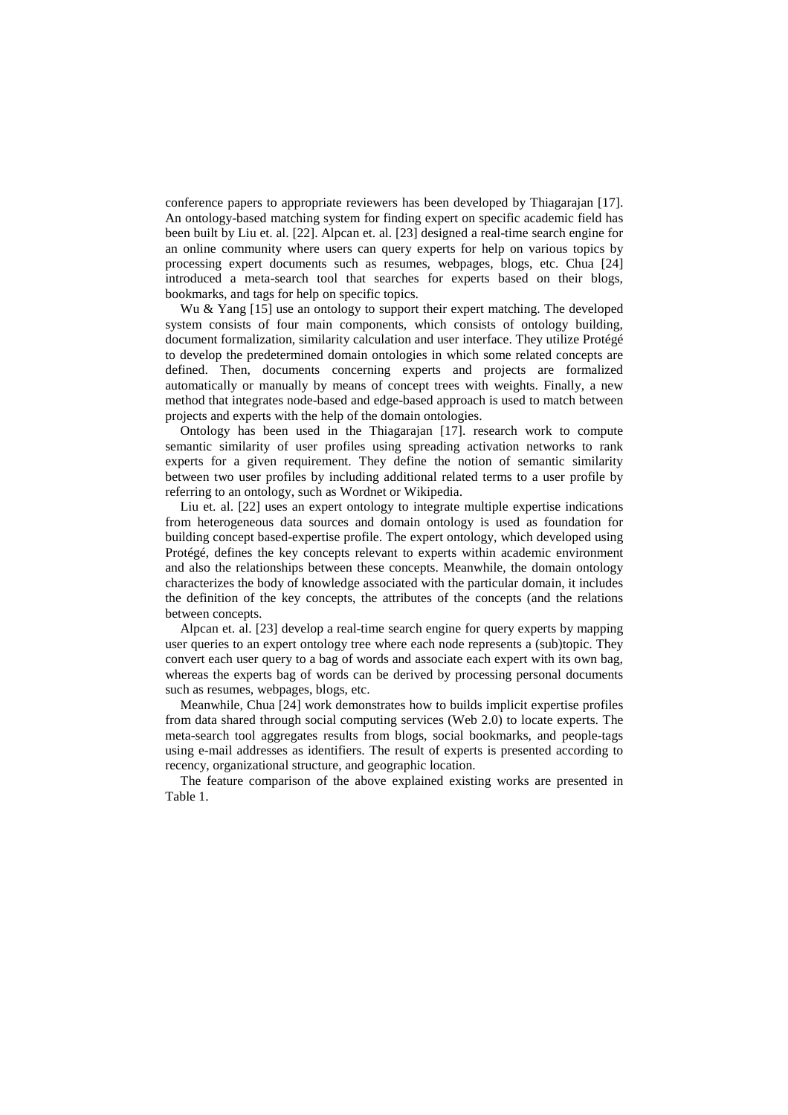conference papers to appropriate reviewers has been developed by Thiagarajan [17]. An ontology-based matching system for finding expert on specific academic field has been built by Liu et. al. [22]. Alpcan et. al. [23] designed a real-time search engine for an online community where users can query experts for help on various topics by processing expert documents such as resumes, webpages, blogs, etc. Chua [24] introduced a meta-search tool that searches for experts based on their blogs, bookmarks, and tags for help on specific topics.

Wu & Yang [15] use an ontology to support their expert matching. The developed system consists of four main components, which consists of ontology building, document formalization, similarity calculation and user interface. They utilize Protégé to develop the predetermined domain ontologies in which some related concepts are defined. Then, documents concerning experts and projects are formalized automatically or manually by means of concept trees with weights. Finally, a new method that integrates node-based and edge-based approach is used to match between projects and experts with the help of the domain ontologies.

Ontology has been used in the Thiagarajan [17]. research work to compute semantic similarity of user profiles using spreading activation networks to rank experts for a given requirement. They define the notion of semantic similarity between two user profiles by including additional related terms to a user profile by referring to an ontology, such as Wordnet or Wikipedia.

Liu et. al. [22] uses an expert ontology to integrate multiple expertise indications from heterogeneous data sources and domain ontology is used as foundation for building concept based-expertise profile. The expert ontology, which developed using Protégé, defines the key concepts relevant to experts within academic environment and also the relationships between these concepts. Meanwhile, the domain ontology characterizes the body of knowledge associated with the particular domain, it includes the definition of the key concepts, the attributes of the concepts (and the relations between concepts.

Alpcan et. al. [23] develop a real-time search engine for query experts by mapping user queries to an expert ontology tree where each node represents a (sub)topic. They convert each user query to a bag of words and associate each expert with its own bag, whereas the experts bag of words can be derived by processing personal documents such as resumes, webpages, blogs, etc.

Meanwhile, Chua [24] work demonstrates how to builds implicit expertise profiles from data shared through social computing services (Web 2.0) to locate experts. The meta-search tool aggregates results from blogs, social bookmarks, and people-tags using e-mail addresses as identifiers. The result of experts is presented according to recency, organizational structure, and geographic location.

The feature comparison of the above explained existing works are presented in Table 1.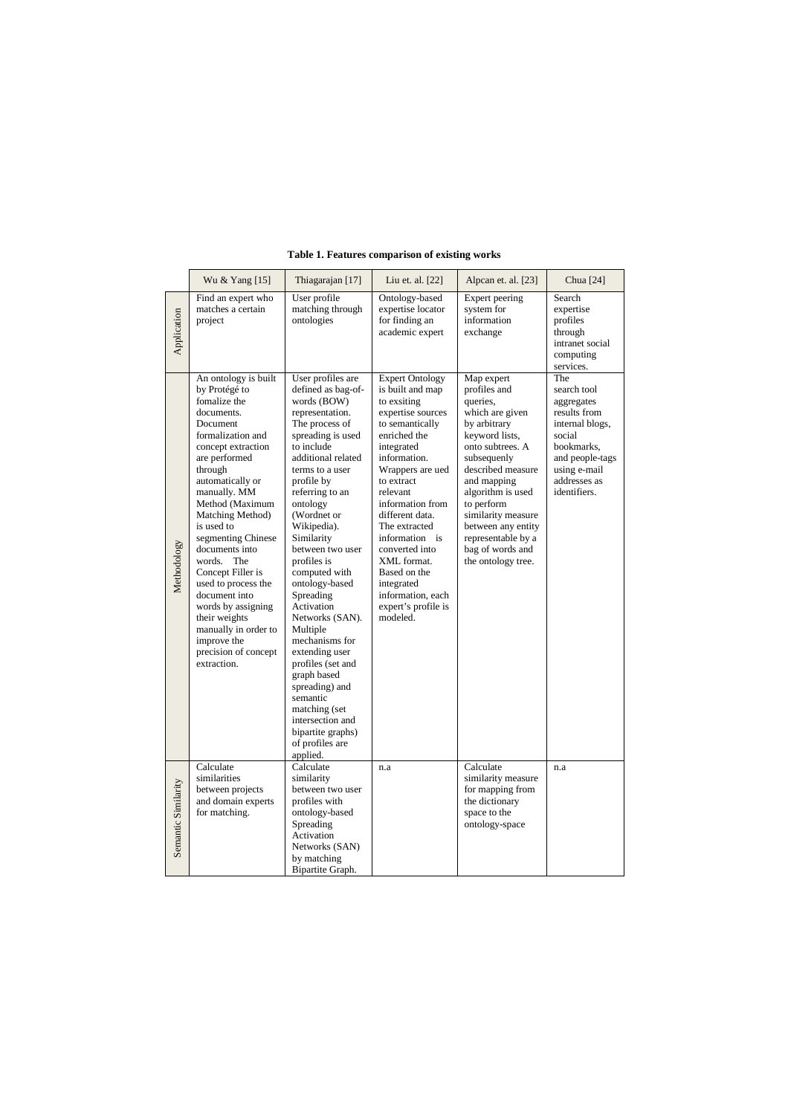|                     | Wu & Yang [15]                                                                                                                                                                                                                                                                                                                                                                                                                                                                             | Thiagarajan [17]                                                                                                                                                                                                                                                                                                                                                                                                                                                                                                                                                                                | Liu et. al. [22]                                                                                                                                                                                                                                                                                                                                                                               | Alpcan et. al. [23]                                                                                                                                                                                                                                                                                               | Chua [24]                                                                                                                                                      |
|---------------------|--------------------------------------------------------------------------------------------------------------------------------------------------------------------------------------------------------------------------------------------------------------------------------------------------------------------------------------------------------------------------------------------------------------------------------------------------------------------------------------------|-------------------------------------------------------------------------------------------------------------------------------------------------------------------------------------------------------------------------------------------------------------------------------------------------------------------------------------------------------------------------------------------------------------------------------------------------------------------------------------------------------------------------------------------------------------------------------------------------|------------------------------------------------------------------------------------------------------------------------------------------------------------------------------------------------------------------------------------------------------------------------------------------------------------------------------------------------------------------------------------------------|-------------------------------------------------------------------------------------------------------------------------------------------------------------------------------------------------------------------------------------------------------------------------------------------------------------------|----------------------------------------------------------------------------------------------------------------------------------------------------------------|
| Application         | Find an expert who<br>matches a certain<br>project                                                                                                                                                                                                                                                                                                                                                                                                                                         | User profile<br>matching through<br>ontologies                                                                                                                                                                                                                                                                                                                                                                                                                                                                                                                                                  | Ontology-based<br>expertise locator<br>for finding an<br>academic expert                                                                                                                                                                                                                                                                                                                       | Expert peering<br>system for<br>information<br>exchange                                                                                                                                                                                                                                                           | Search<br>expertise<br>profiles<br>through<br>intranet social<br>computing<br>services.                                                                        |
| Methodology         | An ontology is built<br>by Protégé to<br>fomalize the<br>documents.<br>Document<br>formalization and<br>concept extraction<br>are performed<br>through<br>automatically or<br>manually. MM<br>Method (Maximum<br>Matching Method)<br>is used to<br>segmenting Chinese<br>documents into<br>words.<br>The<br>Concept Filler is<br>used to process the<br>document into<br>words by assigning<br>their weights<br>manually in order to<br>improve the<br>precision of concept<br>extraction. | User profiles are<br>defined as bag-of-<br>words (BOW)<br>representation.<br>The process of<br>spreading is used<br>to include<br>additional related<br>terms to a user<br>profile by<br>referring to an<br>ontology<br>(Wordnet or<br>Wikipedia).<br>Similarity<br>between two user<br>profiles is<br>computed with<br>ontology-based<br>Spreading<br>Activation<br>Networks (SAN).<br>Multiple<br>mechanisms for<br>extending user<br>profiles (set and<br>graph based<br>spreading) and<br>semantic<br>matching (set<br>intersection and<br>bipartite graphs)<br>of profiles are<br>applied. | <b>Expert Ontology</b><br>is built and map<br>to exsiting<br>expertise sources<br>to semantically<br>enriched the<br>integrated<br>information.<br>Wrappers are ued<br>to extract<br>relevant<br>information from<br>different data.<br>The extracted<br>information is<br>converted into<br>XML format.<br>Based on the<br>integrated<br>information, each<br>expert's profile is<br>modeled. | Map expert<br>profiles and<br>queries,<br>which are given<br>by arbitrary<br>keyword lists,<br>onto subtrees. A<br>subsequenly<br>described measure<br>and mapping<br>algorithm is used<br>to perform<br>similarity measure<br>between any entity<br>representable by a<br>bag of words and<br>the ontology tree. | The<br>search tool<br>aggregates<br>results from<br>internal blogs,<br>social<br>bookmarks,<br>and people-tags<br>using e-mail<br>addresses as<br>identifiers. |
| Semantic Similarity | Calculate<br>similarities<br>between projects<br>and domain experts<br>for matching.                                                                                                                                                                                                                                                                                                                                                                                                       | Calculate<br>similarity<br>between two user<br>profiles with<br>ontology-based<br>Spreading<br>Activation<br>Networks (SAN)<br>by matching<br>Bipartite Graph.                                                                                                                                                                                                                                                                                                                                                                                                                                  | n.a                                                                                                                                                                                                                                                                                                                                                                                            | Calculate<br>similarity measure<br>for mapping from<br>the dictionary<br>space to the<br>ontology-space                                                                                                                                                                                                           | n.a                                                                                                                                                            |

## **Table 1. Features comparison of existing works**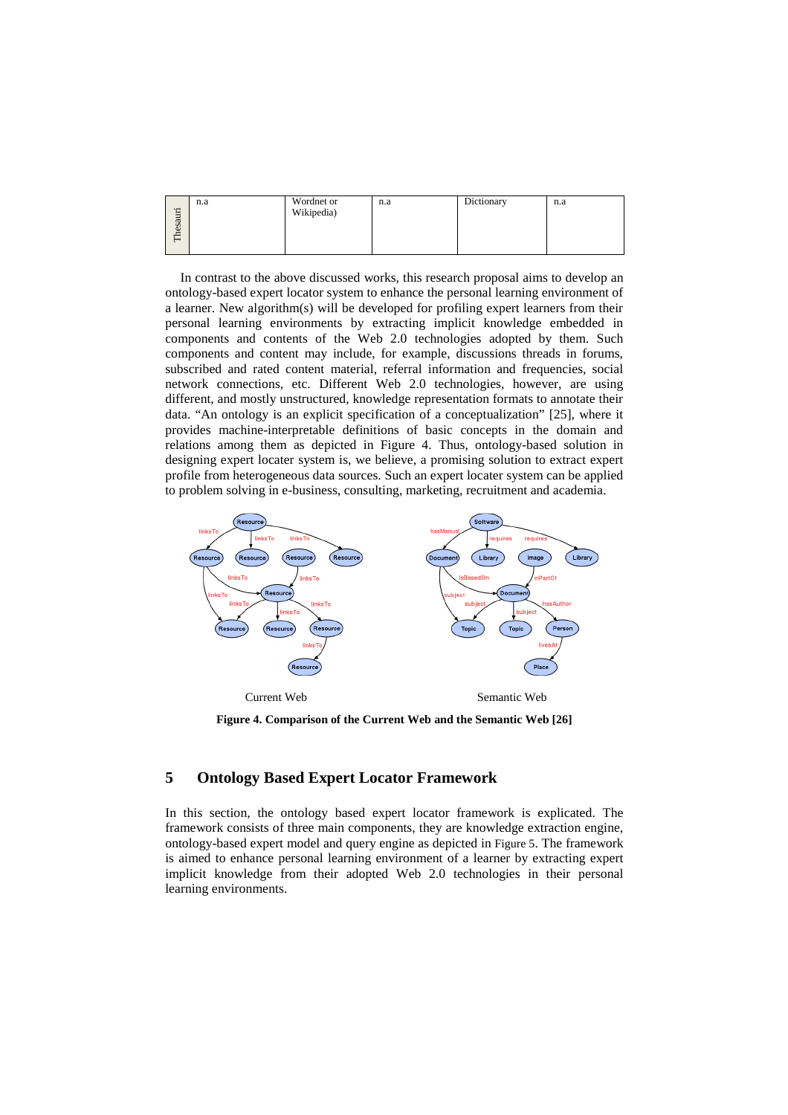|         | n.a | Wordnet or | n.a | Dictionary | n.a |
|---------|-----|------------|-----|------------|-----|
| hesauri |     | Wikipedia) |     |            |     |
|         |     |            |     |            |     |
| −       |     |            |     |            |     |

In contrast to the above discussed works, this research proposal aims to develop an ontology-based expert locator system to enhance the personal learning environment of a learner. New algorithm(s) will be developed for profiling expert learners from their personal learning environments by extracting implicit knowledge embedded in components and contents of the Web 2.0 technologies adopted by them. Such components and content may include, for example, discussions threads in forums, subscribed and rated content material, referral information and frequencies, social network connections, etc. Different Web 2.0 technologies, however, are using different, and mostly unstructured, knowledge representation formats to annotate their data. "An ontology is an explicit specification of a conceptualization" [25], where it provides machine-interpretable definitions of basic concepts in the domain and relations among them as depicted in Figure 4. Thus, ontology-based solution in designing expert locater system is, we believe, a promising solution to extract expert profile from heterogeneous data sources. Such an expert locater system can be applied to problem solving in e-business, consulting, marketing, recruitment and academia.



**Figure 4. Comparison of the Current Web and the Semantic Web [26]** 

# **5 Ontology Based Expert Locator Framework**

In this section, the ontology based expert locator framework is explicated. The framework consists of three main components, they are knowledge extraction engine, ontology-based expert model and query engine as depicted in Figure 5. The framework is aimed to enhance personal learning environment of a learner by extracting expert implicit knowledge from their adopted Web 2.0 technologies in their personal learning environments.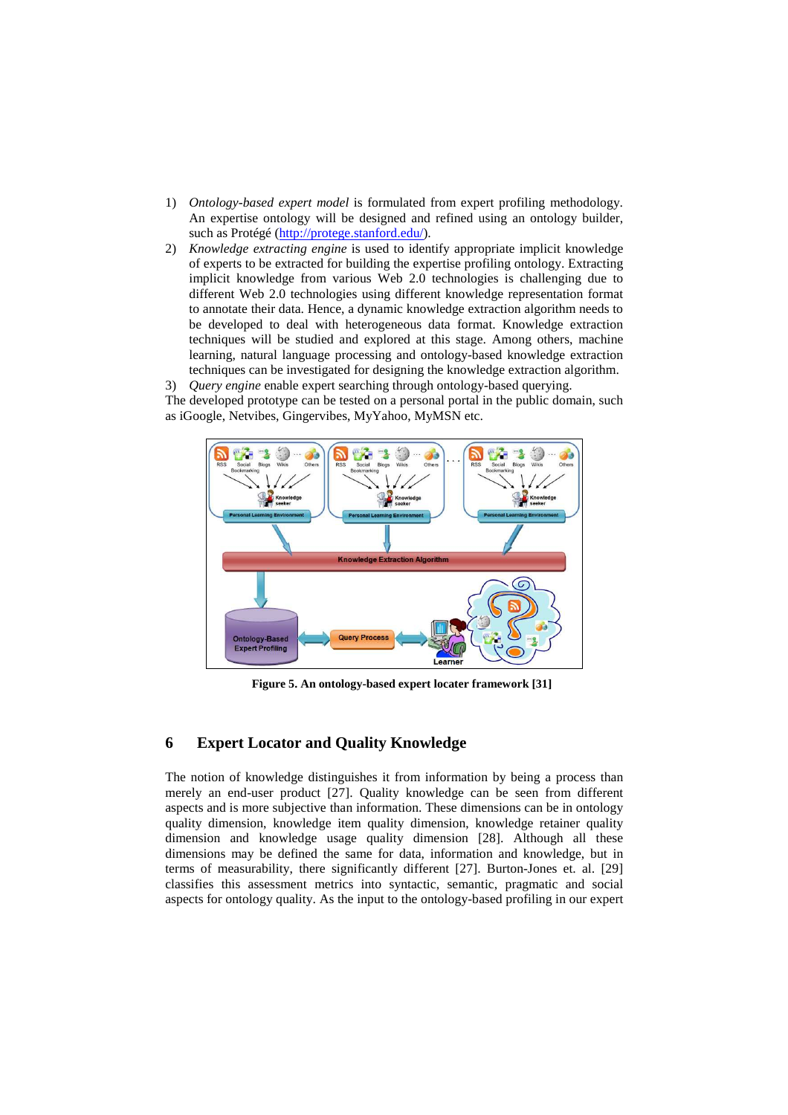- 1) *Ontology-based expert model* is formulated from expert profiling methodology. An expertise ontology will be designed and refined using an ontology builder, such as Protégé (http://protege.stanford.edu/).
- 2) *Knowledge extracting engine* is used to identify appropriate implicit knowledge of experts to be extracted for building the expertise profiling ontology. Extracting implicit knowledge from various Web 2.0 technologies is challenging due to different Web 2.0 technologies using different knowledge representation format to annotate their data. Hence, a dynamic knowledge extraction algorithm needs to be developed to deal with heterogeneous data format. Knowledge extraction techniques will be studied and explored at this stage. Among others, machine learning, natural language processing and ontology-based knowledge extraction techniques can be investigated for designing the knowledge extraction algorithm.

3) *Query engine* enable expert searching through ontology-based querying. The developed prototype can be tested on a personal portal in the public domain, such as iGoogle, Netvibes, Gingervibes, MyYahoo, MyMSN etc.



**Figure 5. An ontology-based expert locater framework [31]** 

### **6 Expert Locator and Quality Knowledge**

The notion of knowledge distinguishes it from information by being a process than merely an end-user product [27]. Quality knowledge can be seen from different aspects and is more subjective than information. These dimensions can be in ontology quality dimension, knowledge item quality dimension, knowledge retainer quality dimension and knowledge usage quality dimension [28]. Although all these dimensions may be defined the same for data, information and knowledge, but in terms of measurability, there significantly different [27]. Burton-Jones et. al. [29] classifies this assessment metrics into syntactic, semantic, pragmatic and social aspects for ontology quality. As the input to the ontology-based profiling in our expert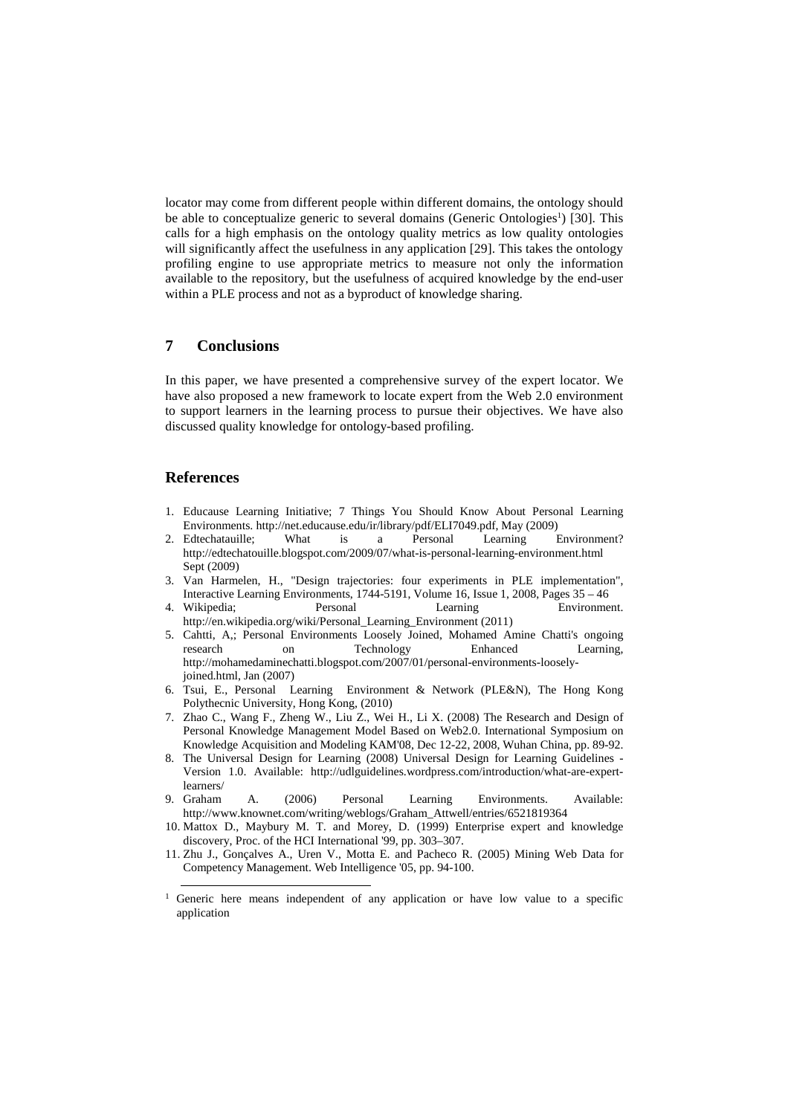locator may come from different people within different domains, the ontology should be able to conceptualize generic to several domains (Generic Ontologies<sup>1</sup>) [30]. This calls for a high emphasis on the ontology quality metrics as low quality ontologies will significantly affect the usefulness in any application [29]. This takes the ontology profiling engine to use appropriate metrics to measure not only the information available to the repository, but the usefulness of acquired knowledge by the end-user within a PLE process and not as a byproduct of knowledge sharing.

# **7 Conclusions**

In this paper, we have presented a comprehensive survey of the expert locator. We have also proposed a new framework to locate expert from the Web 2.0 environment to support learners in the learning process to pursue their objectives. We have also discussed quality knowledge for ontology-based profiling.

#### **References**

 $\overline{a}$ 

- 1. Educause Learning Initiative; 7 Things You Should Know About Personal Learning Environments. http://net.educause.edu/ir/library/pdf/ELI7049.pdf, May (2009)
- 2. Edtechatauille; What is a Personal Learning Environment? http://edtechatouille.blogspot.com/2009/07/what-is-personal-learning-environment.html Sept (2009)
- 3. Van Harmelen, H., "Design trajectories: four experiments in PLE implementation", Interactive Learning Environments, 1744-5191, Volume 16, Issue 1, 2008, Pages 35 – 46
- 4. Wikipedia; Personal Learning Environment. http://en.wikipedia.org/wiki/Personal\_Learning\_Environment (2011)
- 5. Cahtti, A,; Personal Environments Loosely Joined, Mohamed Amine Chatti's ongoing research on Technology Enhanced Learning, http://mohamedaminechatti.blogspot.com/2007/01/personal-environments-looselyjoined.html, Jan (2007)
- 6. Tsui, E., Personal Learning Environment & Network (PLE&N), The Hong Kong Polythecnic University, Hong Kong, (2010)
- 7. Zhao C., Wang F., Zheng W., Liu Z., Wei H., Li X. (2008) The Research and Design of Personal Knowledge Management Model Based on Web2.0. International Symposium on Knowledge Acquisition and Modeling KAM'08, Dec 12-22, 2008, Wuhan China, pp. 89-92.
- 8. The Universal Design for Learning (2008) Universal Design for Learning Guidelines Version 1.0. Available: http://udlguidelines.wordpress.com/introduction/what-are-expertlearners/
- 9. Graham A. (2006) Personal Learning Environments. Available: http://www.knownet.com/writing/weblogs/Graham\_Attwell/entries/6521819364
- 10. Mattox D., Maybury M. T. and Morey, D. (1999) Enterprise expert and knowledge discovery, Proc. of the HCI International '99, pp. 303–307.
- 11. Zhu J., Gonçalves A., Uren V., Motta E. and Pacheco R. (2005) Mining Web Data for Competency Management. Web Intelligence '05, pp. 94-100.

<sup>&</sup>lt;sup>1</sup> Generic here means independent of any application or have low value to a specific application